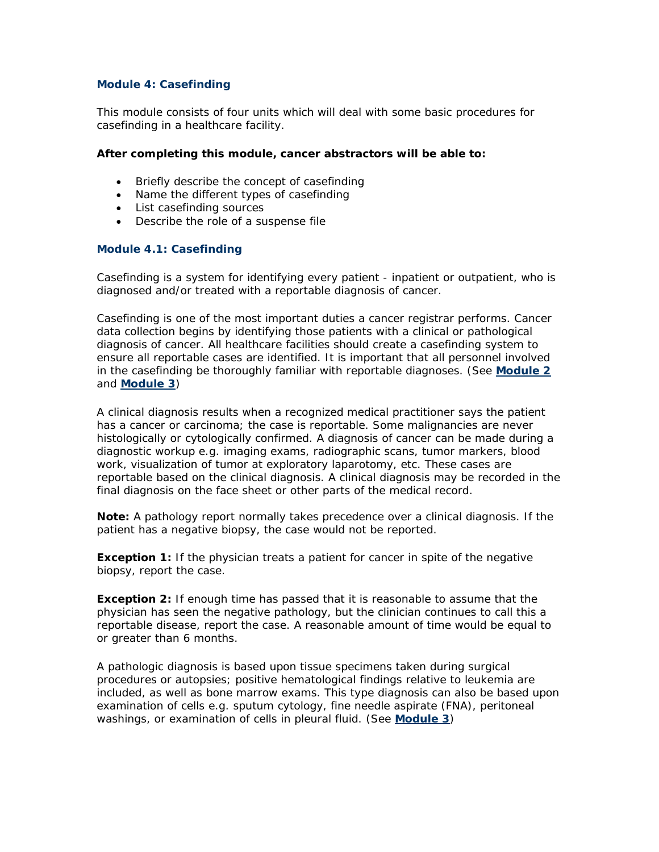#### **Module 4: Casefinding**

This module consists of four units which will deal with some basic procedures for casefinding in a healthcare facility.

#### **After completing this module, cancer abstractors will be able to:**

- Briefly describe the concept of casefinding
- Name the different types of casefinding
- List casefinding sources
- Describe the role of a suspense file

#### **Module 4.1: Casefinding**

Casefinding is a system for identifying every patient - inpatient or outpatient, who is diagnosed and/or treated with a reportable diagnosis of cancer.

Casefinding is one of the most important duties a cancer registrar performs. Cancer data collection begins by identifying those patients with a clinical or pathological diagnosis of cancer. All healthcare facilities should create a casefinding system to ensure all reportable cases are identified. It is important that all personnel involved in the casefinding be thoroughly familiar with reportable diagnoses. (See **Module 2** and **Module 3**)

A clinical diagnosis results when a recognized medical practitioner says the patient has a cancer or carcinoma; the case is reportable. Some malignancies are never histologically or cytologically confirmed. A diagnosis of cancer can be made during a diagnostic workup e.g. imaging exams, radiographic scans, tumor markers, blood work, visualization of tumor at exploratory laparotomy, etc. These cases are reportable based on the clinical diagnosis. A clinical diagnosis may be recorded in the final diagnosis on the face sheet or other parts of the medical record.

*Note: A pathology report normally takes precedence over a clinical diagnosis. If the patient has a negative biopsy, the case would not be reported.* 

*Exception 1: If the physician treats a patient for cancer in spite of the negative biopsy, report the case.* 

*Exception 2: If enough time has passed that it is reasonable to assume that the physician has seen the negative pathology, but the clinician continues to call this a reportable disease, report the case. A reasonable amount of time would be equal to or greater than 6 months.*

A pathologic diagnosis is based upon tissue specimens taken during surgical procedures or autopsies; positive hematological findings relative to leukemia are included, as well as bone marrow exams. This type diagnosis can also be based upon examination of cells e.g. sputum cytology, fine needle aspirate (FNA), peritoneal washings, or examination of cells in pleural fluid. (See **Module 3**)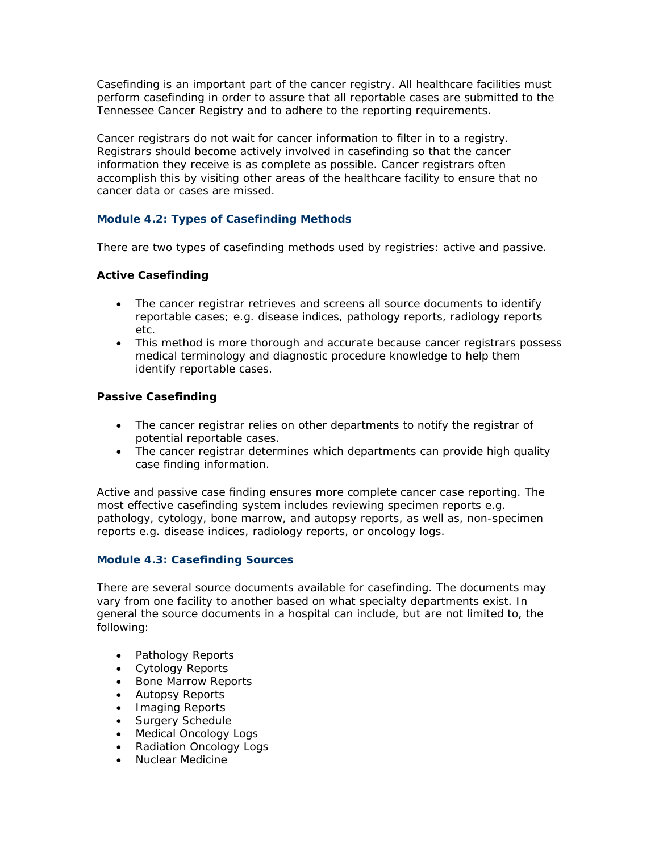Casefinding is an important part of the cancer registry. All healthcare facilities must perform casefinding in order to assure that all reportable cases are submitted to the Tennessee Cancer Registry and to adhere to the reporting requirements.

Cancer registrars do not wait for cancer information to filter in to a registry. Registrars should become actively involved in casefinding so that the cancer information they receive is as complete as possible. Cancer registrars often accomplish this by visiting other areas of the healthcare facility to ensure that no cancer data or cases are missed.

# **Module 4.2: Types of Casefinding Methods**

There are two types of casefinding methods used by registries: active and passive.

# **Active Casefinding**

- The cancer registrar retrieves and screens all source documents to identify reportable cases; e.g. disease indices, pathology reports, radiology reports etc.
- This method is more thorough and accurate because cancer registrars possess medical terminology and diagnostic procedure knowledge to help them identify reportable cases.

# **Passive Casefinding**

- The cancer registrar relies on other departments to notify the registrar of potential reportable cases.
- The cancer registrar determines which departments can provide high quality case finding information.

Active and passive case finding ensures more complete cancer case reporting. The most effective casefinding system includes reviewing specimen reports e.g. pathology, cytology, bone marrow, and autopsy reports, as well as, non-specimen reports e.g. disease indices, radiology reports, or oncology logs.

# **Module 4.3: Casefinding Sources**

There are several source documents available for casefinding. The documents may vary from one facility to another based on what specialty departments exist. In general the source documents in a hospital can include, but are not limited to, the following:

- Pathology Reports
- Cytology Reports
- Bone Marrow Reports
- Autopsy Reports
- Imaging Reports
- Surgery Schedule
- Medical Oncology Logs
- Radiation Oncology Logs
- Nuclear Medicine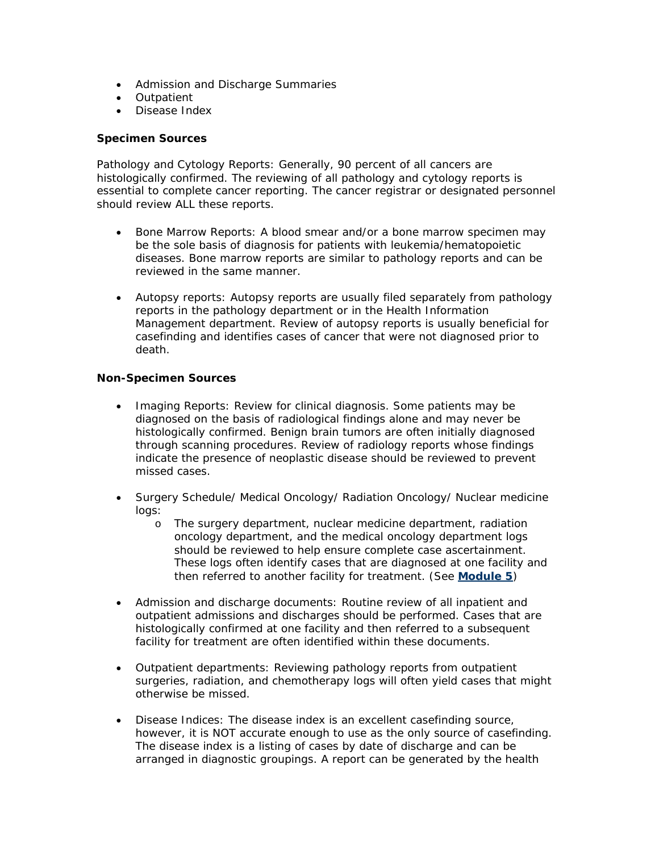- Admission and Discharge Summaries
- Outpatient
- Disease Index

#### **Specimen Sources**

Pathology and Cytology Reports: Generally, 90 percent of all cancers are histologically confirmed. The reviewing of all pathology and cytology reports is essential to complete cancer reporting. The cancer registrar or designated personnel should review ALL these reports.

- Bone Marrow Reports: A blood smear and/or a bone marrow specimen may be the sole basis of diagnosis for patients with leukemia/hematopoietic diseases. Bone marrow reports are similar to pathology reports and can be reviewed in the same manner.
- Autopsy reports: Autopsy reports are usually filed separately from pathology reports in the pathology department or in the Health Information Management department. Review of autopsy reports is usually beneficial for casefinding and identifies cases of cancer that were not diagnosed prior to death.

#### **Non-Specimen Sources**

- Imaging Reports: Review for clinical diagnosis. Some patients may be diagnosed on the basis of radiological findings alone and may never be histologically confirmed. Benign brain tumors are often initially diagnosed through scanning procedures. Review of radiology reports whose findings indicate the presence of neoplastic disease should be reviewed to prevent missed cases.
- Surgery Schedule/ Medical Oncology/ Radiation Oncology/ Nuclear medicine logs:
	- o The surgery department, nuclear medicine department, radiation oncology department, and the medical oncology department logs should be reviewed to help ensure complete case ascertainment. These logs often identify cases that are diagnosed at one facility and then referred to another facility for treatment. (See **Module 5**)
- Admission and discharge documents: Routine review of all inpatient and outpatient admissions and discharges should be performed. Cases that are histologically confirmed at one facility and then referred to a subsequent facility for treatment are often identified within these documents.
- Outpatient departments: Reviewing pathology reports from outpatient surgeries, radiation, and chemotherapy logs will often yield cases that might otherwise be missed.
- Disease Indices: The disease index is an excellent casefinding source, however, it is NOT accurate enough to use as the only source of casefinding. The disease index is a listing of cases by date of discharge and can be arranged in diagnostic groupings. A report can be generated by the health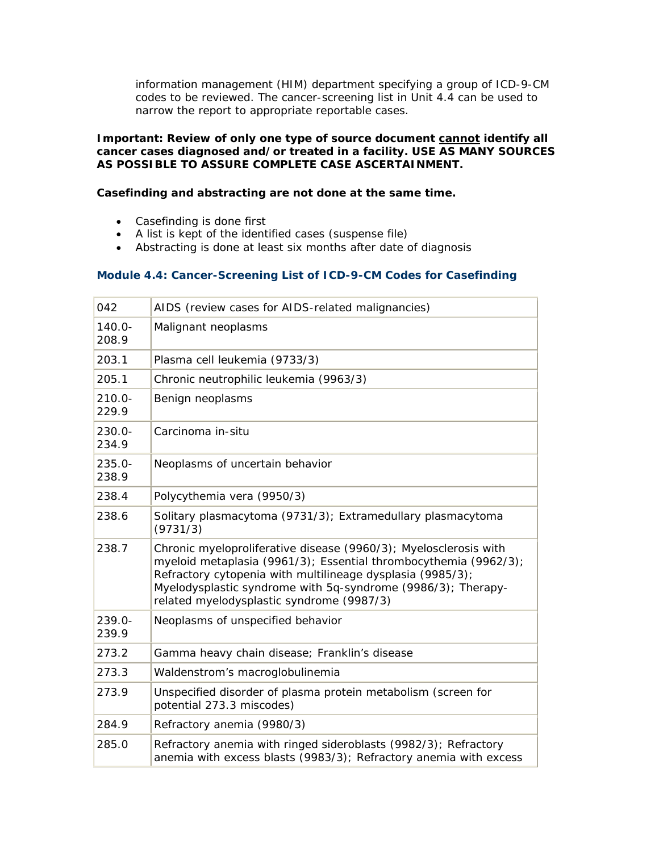information management (HIM) department specifying a group of ICD-9-CM codes to be reviewed. The cancer-screening list in Unit 4.4 can be used to narrow the report to appropriate reportable cases.

#### *Important: Review of only one type of source document cannot identify all cancer cases diagnosed and/or treated in a facility. USE AS MANY SOURCES AS POSSIBLE TO ASSURE COMPLETE CASE ASCERTAINMENT.*

# **Casefinding and abstracting are not done at the same time.**

- Casefinding is done first
- A list is kept of the identified cases (suspense file)
- Abstracting is done at least six months after date of diagnosis

# **Module 4.4: Cancer-Screening List of ICD-9-CM Codes for Casefinding**

| 042                | AIDS (review cases for AIDS-related malignancies)                                                                                                                                                                                                                                                               |
|--------------------|-----------------------------------------------------------------------------------------------------------------------------------------------------------------------------------------------------------------------------------------------------------------------------------------------------------------|
| $140.0 -$<br>208.9 | Malignant neoplasms                                                                                                                                                                                                                                                                                             |
| 203.1              | Plasma cell leukemia (9733/3)                                                                                                                                                                                                                                                                                   |
| 205.1              | Chronic neutrophilic leukemia (9963/3)                                                                                                                                                                                                                                                                          |
| $210.0 -$<br>229.9 | Benign neoplasms                                                                                                                                                                                                                                                                                                |
| 230.0-<br>234.9    | Carcinoma in-situ                                                                                                                                                                                                                                                                                               |
| 235.0-<br>238.9    | Neoplasms of uncertain behavior                                                                                                                                                                                                                                                                                 |
| 238.4              | Polycythemia vera (9950/3)                                                                                                                                                                                                                                                                                      |
| 238.6              | Solitary plasmacytoma (9731/3); Extramedullary plasmacytoma<br>(9731/3)                                                                                                                                                                                                                                         |
| 238.7              | Chronic myeloproliferative disease (9960/3); Myelosclerosis with<br>myeloid metaplasia (9961/3); Essential thrombocythemia (9962/3);<br>Refractory cytopenia with multilineage dysplasia (9985/3);<br>Myelodysplastic syndrome with 5q-syndrome (9986/3); Therapy-<br>related myelodysplastic syndrome (9987/3) |
| $239.0 -$<br>239.9 | Neoplasms of unspecified behavior                                                                                                                                                                                                                                                                               |
| 273.2              | Gamma heavy chain disease; Franklin's disease                                                                                                                                                                                                                                                                   |
| 273.3              | Waldenstrom's macroglobulinemia                                                                                                                                                                                                                                                                                 |
| 273.9              | Unspecified disorder of plasma protein metabolism (screen for<br>potential 273.3 miscodes)                                                                                                                                                                                                                      |
| 284.9              | Refractory anemia (9980/3)                                                                                                                                                                                                                                                                                      |
| 285.0              | Refractory anemia with ringed sideroblasts (9982/3); Refractory<br>anemia with excess blasts (9983/3); Refractory anemia with excess                                                                                                                                                                            |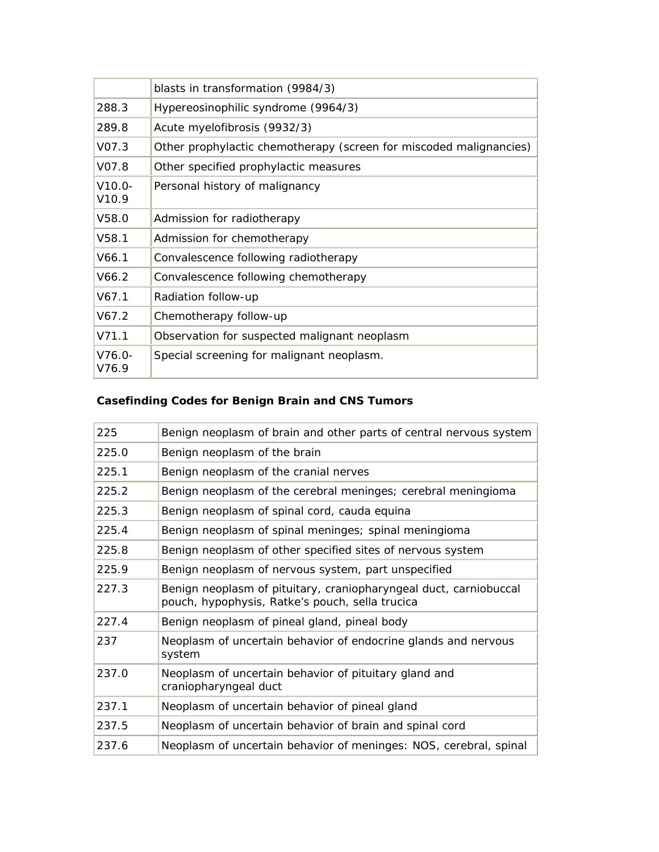|                    | blasts in transformation (9984/3)                                  |
|--------------------|--------------------------------------------------------------------|
| 288.3              | Hypereosinophilic syndrome (9964/3)                                |
| 289.8              | Acute myelofibrosis (9932/3)                                       |
| V <sub>07.3</sub>  | Other prophylactic chemotherapy (screen for miscoded malignancies) |
| V07.8              | Other specified prophylactic measures                              |
| $V10.0 -$<br>V10.9 | Personal history of malignancy                                     |
| V58.0              | Admission for radiotherapy                                         |
| V58.1              | Admission for chemotherapy                                         |
| V66.1              | Convalescence following radiotherapy                               |
| V66.2              | Convalescence following chemotherapy                               |
| V67.1              | Radiation follow-up                                                |
| V67.2              | Chemotherapy follow-up                                             |
| V711               | Observation for suspected malignant neoplasm                       |
| $V76.0 -$<br>V76.9 | Special screening for malignant neoplasm.                          |

# **Casefinding Codes for Benign Brain and CNS Tumors**

| 225   | Benign neoplasm of brain and other parts of central nervous system                                                   |
|-------|----------------------------------------------------------------------------------------------------------------------|
| 225.0 | Benign neoplasm of the brain                                                                                         |
| 225.1 | Benign neoplasm of the cranial nerves                                                                                |
| 225.2 | Benign neoplasm of the cerebral meninges; cerebral meningioma                                                        |
| 225.3 | Benign neoplasm of spinal cord, cauda equina                                                                         |
| 225.4 | Benign neoplasm of spinal meninges; spinal meningioma                                                                |
| 225.8 | Benign neoplasm of other specified sites of nervous system                                                           |
| 225.9 | Benign neoplasm of nervous system, part unspecified                                                                  |
| 227.3 | Benign neoplasm of pituitary, craniopharyngeal duct, carniobuccal<br>pouch, hypophysis, Ratke's pouch, sella trucica |
| 227.4 | Benign neoplasm of pineal gland, pineal body                                                                         |
| 237   | Neoplasm of uncertain behavior of endocrine glands and nervous<br>system                                             |
| 237.0 | Neoplasm of uncertain behavior of pituitary gland and<br>craniopharyngeal duct                                       |
| 237.1 | Neoplasm of uncertain behavior of pineal gland                                                                       |
| 237.5 | Neoplasm of uncertain behavior of brain and spinal cord                                                              |
| 237.6 | Neoplasm of uncertain behavior of meninges: NOS, cerebral, spinal                                                    |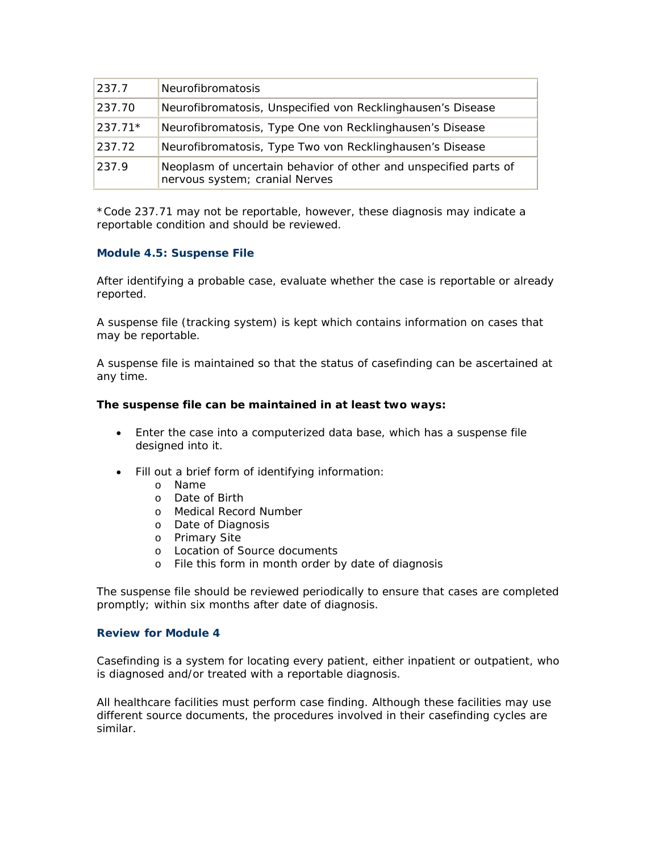| 237.7     | <b>Neurofibromatosis</b>                                                                           |
|-----------|----------------------------------------------------------------------------------------------------|
| 237.70    | Neurofibromatosis, Unspecified von Recklinghausen's Disease                                        |
| $237.71*$ | Neurofibromatosis, Type One von Recklinghausen's Disease                                           |
| 237.72    | Neurofibromatosis, Type Two von Recklinghausen's Disease                                           |
| 237.9     | Neoplasm of uncertain behavior of other and unspecified parts of<br>nervous system; cranial Nerves |

\*Code 237.71 may not be reportable, however, these diagnosis may indicate a reportable condition and should be reviewed.

#### **Module 4.5: Suspense File**

After identifying a probable case, evaluate whether the case is reportable or already reported.

A suspense file (tracking system) is kept which contains information on cases that may be reportable.

A suspense file is maintained so that the status of casefinding can be ascertained at any time.

#### **The suspense file can be maintained in at least two ways:**

- Enter the case into a computerized data base, which has a suspense file designed into it.
- Fill out a brief form of identifying information:
	- o Name
	- o Date of Birth
	- o Medical Record Number
	- o Date of Diagnosis
	- o Primary Site
	- o Location of Source documents
	- o File this form in month order by date of diagnosis

The suspense file should be reviewed periodically to ensure that cases are completed promptly; within six months after date of diagnosis.

# **Review for Module 4**

Casefinding is a system for locating every patient, either inpatient or outpatient, who is diagnosed and/or treated with a reportable diagnosis.

All healthcare facilities must perform case finding. Although these facilities may use different source documents, the procedures involved in their casefinding cycles are similar.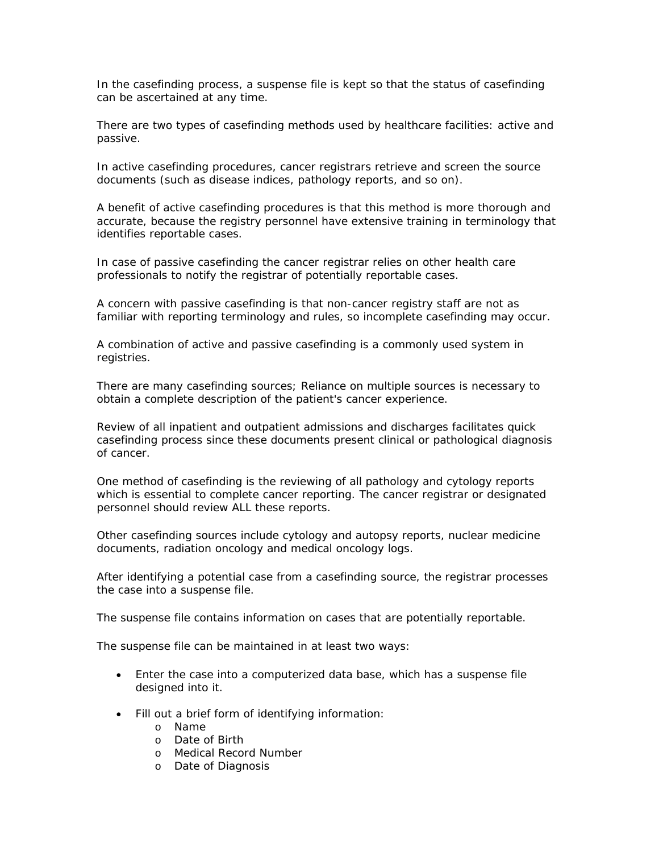In the casefinding process, a suspense file is kept so that the status of casefinding can be ascertained at any time.

There are two types of casefinding methods used by healthcare facilities: active and passive.

In active casefinding procedures, cancer registrars retrieve and screen the source documents (such as disease indices, pathology reports, and so on).

A benefit of active casefinding procedures is that this method is more thorough and accurate, because the registry personnel have extensive training in terminology that identifies reportable cases.

In case of passive casefinding the cancer registrar relies on other health care professionals to notify the registrar of potentially reportable cases.

A concern with passive casefinding is that non-cancer registry staff are not as familiar with reporting terminology and rules, so incomplete casefinding may occur.

A combination of active and passive casefinding is a commonly used system in registries.

There are many casefinding sources; Reliance on multiple sources is necessary to obtain a complete description of the patient's cancer experience.

Review of all inpatient and outpatient admissions and discharges facilitates quick casefinding process since these documents present clinical or pathological diagnosis of cancer.

One method of casefinding is the reviewing of all pathology and cytology reports which is essential to complete cancer reporting. The cancer registrar or designated personnel should review ALL these reports.

Other casefinding sources include cytology and autopsy reports, nuclear medicine documents, radiation oncology and medical oncology logs.

After identifying a potential case from a casefinding source, the registrar processes the case into a suspense file.

The suspense file contains information on cases that are potentially reportable.

The suspense file can be maintained in at least two ways:

- Enter the case into a computerized data base, which has a suspense file designed into it.
- Fill out a brief form of identifying information:
	- o Name
	- o Date of Birth
	- o Medical Record Number
	- o Date of Diagnosis